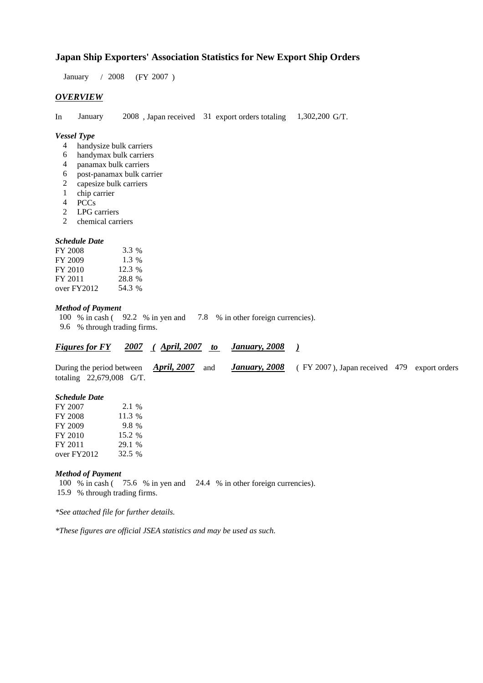# **Japan Ship Exporters' Association Statistics for New Export Ship Orders**

 $/ 2008$  (FY 2007) January / 2008

## *OVERVIEW*

In January  $2008$ , Japan received 31 export orders totaling  $1,302,200$  G/T. 1,302,200 G/T. January

#### *Vessel Type*

- handysize bulk carriers 4
- handymax bulk carriers 6
- panamax bulk carriers 4
- post-panamax bulk carrier 6
- capesize bulk carriers 2
- chip carrier 1
- PCCs 4
- LPG carriers 2
- chemical carriers 2

#### *Schedule Date*

| FY 2008     | 3.3 %    |
|-------------|----------|
| FY 2009     | $1.3\%$  |
| FY 2010     | $12.3\%$ |
| FY 2011     | 28.8 %   |
| over FY2012 | 54.3 %   |

### *Method of Payment*

- 100 % in cash (92.2 % in yen and 7.8 % in other foreign currencies).
- % through trading firms. 9.6

|  | <b>April, 2007</b><br>2007<br>January, 2008<br><b>Figures for FY</b> |  |
|--|----------------------------------------------------------------------|--|
|--|----------------------------------------------------------------------|--|

During the period between *April, 2007* and *January, 2008* (FY 2007), Japan received 479 export orders totaling  $22,679,008$  G/T. During the period between **April, 2007** and **January, 2008** 

## *Schedule Date*

| FY 2007     | 2.1 %  |
|-------------|--------|
| FY 2008     | 11.3 % |
| FY 2009     | 9.8 %  |
| FY 2010     | 15.2 % |
| FY 2011     | 29.1 % |
| over FY2012 | 32.5 % |

#### *Method of Payment*

100 % in cash (75.6 % in yen and 24.4 % in other foreign currencies). % through trading firms. 15.9

*\*See attached file for further details.*

*\*These figures are official JSEA statistics and may be used as such.*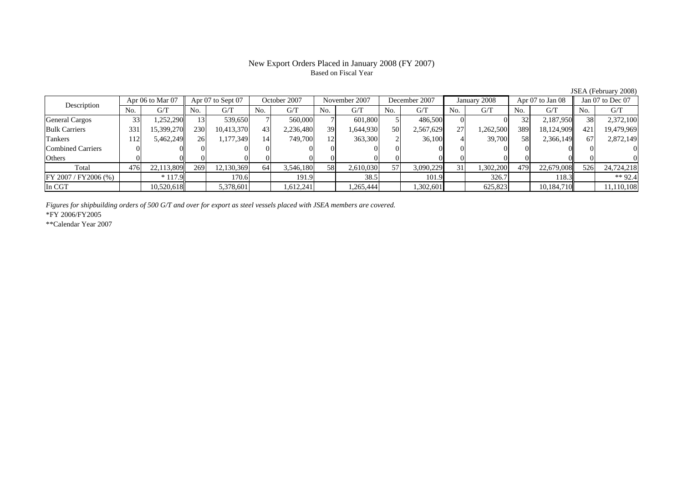## New Export Orders Placed in January 2008 (FY 2007) Based on Fiscal Year

JSEA (February 2008)

| Apr 06 to Mar 07<br>Description |     |            | Apr 07 to Sept 07 |            | October 2007 |           | November 2007 |           | December 2007 |           | January 2008 |           | Apr $07$ to Jan $08$ |            | Jan 07 to Dec 07 |            |
|---------------------------------|-----|------------|-------------------|------------|--------------|-----------|---------------|-----------|---------------|-----------|--------------|-----------|----------------------|------------|------------------|------------|
|                                 | No. | G/T        | No.               | G/T        | No.          | G/T       | No.           | G/T       | No.           | G/T       | No.          | G/T       | No.                  | G/T        | No.              | G/T        |
| <b>General Cargos</b>           | 33  | ,252,290   | 13                | 539,650    |              | 560,000   |               | 601,800   |               | 486,500   |              |           | 32                   | 2,187,950  | 38               | 2,372,100  |
| <b>Bulk Carriers</b>            | 331 | 15,399,270 | 230               | 10,413,370 | 43           | 2,236,480 | 39            | 1,644,930 | 50            | 2,567,629 | 27           | 1,262,500 | 389                  | 18,124,909 | 421              | 19,479,969 |
| Tankers                         | .12 | 5,462,249  | 26                | 1,177,349  | 14           | 749,700   | 12            | 363,300   |               | 36,100    |              | 39,700    | 58                   | 2,366,149  | 67               | 2,872,149  |
| Combined Carriers               |     |            |                   |            |              |           |               |           |               |           |              |           |                      |            |                  |            |
| Others                          |     |            |                   |            |              |           |               |           |               |           |              |           |                      |            |                  |            |
| Total                           | 476 | 22,113,809 | 269               | 12,130,369 | 64           | 3,546,180 | 58            | 2,610,030 | 57            | 3,090,229 | 31           | 1,302,200 | 479                  | 22,679,008 | 526              | 24,724,218 |
| FY 2007 / FY 2006 (%)           |     | $*117.9$   |                   | 170.6      |              | 191.9     |               | 38.5      |               | 101.9     |              | 326.7     |                      | 118.3      |                  | ** 92.4    |
| In CGT                          |     | 10,520,618 |                   | 5,378,601  |              | .612,241  |               | .265,444  |               | 1,302,601 |              | 625,823   |                      | 10,184,710 |                  | 11,110,108 |

*Figures for shipbuilding orders of 500 G/T and over for export as steel vessels placed with JSEA members are covered.*

\*FY 2006/FY2005

\*\*Calendar Year 2007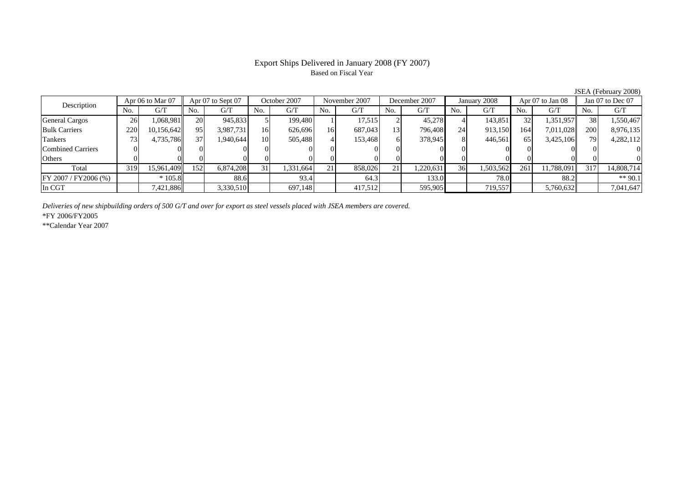## Export Ships Delivered in January 2008 (FY 2007) Based on Fiscal Year

No. I G/T II No. I G/T II No. I G/T II No. I G/T G/T II No. I G/T II No. I G/T II No. I G/T II No. I G/T II No  $G/T$ General Cargos 26 1,068,981 20 945,833 5 199,480 1 17,515 2 45,278 4 143,851 32 1,351,957 38 1,550,467 Bulk Carriers 220 10,156,642 95 3,987,731 16 626,696 16 687,043 13 796,408 24 913,150 164 7,011,028 200 8,976,135 Tankers | 73| 4,735,786|| 37| 1,940,644| 10| 505,488| 4| 153,468| 6| 378,945| 8| 446,561| 65| 3,425,106|| 79| 4,282,112 Combined Carriers 0 0 0 0 0 0 0 0 0 0 0 0 0 0 0 0Others | 0 | 0 | 0 | 0 | 0 | 0 | 0 | 0 | 0 | 0 | 0 | 0 Total 319 15,961,409 152 6,874,208 31 1,331,664 21 858,026 21 1,220,631 36 1,503,562 261 11,788,091 317 14,808,714 FY 2007 / FY2006 (%) \* 105.8 88.6 93.4 64.3 133.0 78.0 88.2 \*\* 90.1 In CGT | | 7,421,886| | 3,330,510| | 697,148| | 417,512| | 595,905| | 719,557 | | 5,760,632|| | 7,041,647 October 2007 November 2007Description  $\frac{1}{N}$   $\frac{1}{N}$   $\frac{1}{N}$   $\frac{1}{N}$   $\frac{1}{N}$   $\frac{1}{N}$   $\frac{1}{N}$   $\frac{1}{N}$   $\frac{1}{N}$   $\frac{1}{N}$   $\frac{1}{N}$   $\frac{1}{N}$   $\frac{1}{N}$   $\frac{1}{N}$   $\frac{1}{N}$   $\frac{1}{N}$   $\frac{1}{N}$   $\frac{1}{N}$   $\frac{1}{N}$   $\frac{1}{N}$   $\frac{1}{N}$ Apr 06 to Mar 07 || Apr 07 to Sept 07 || October 2007 || November 2007 || December 2007 || January 2008 || Apr 07 to Jan 08 || Jan 07 to Dec 07

*Deliveries of new shipbuilding orders of 500 G/T and over for export as steel vessels placed with JSEA members are covered.*

\*FY 2006/FY2005

\*\*Calendar Year 2007

JSEA (February 2008)